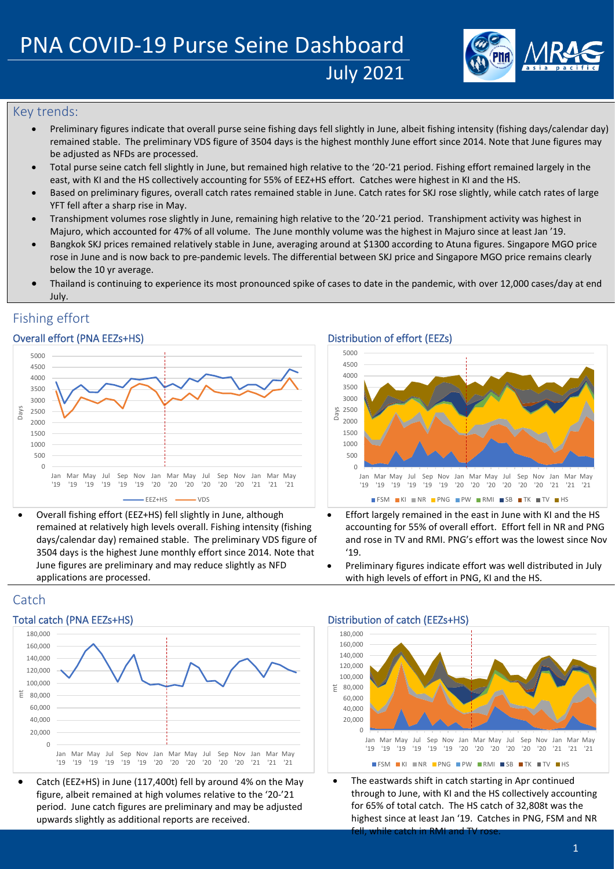

## Key trends:

- Preliminary figures indicate that overall purse seine fishing days fell slightly in June, albeit fishing intensity (fishing days/calendar day) remained stable. The preliminary VDS figure of 3504 days is the highest monthly June effort since 2014. Note that June figures may be adjusted as NFDs are processed.
- Total purse seine catch fell slightly in June, but remained high relative to the '20-'21 period. Fishing effort remained largely in the east, with KI and the HS collectively accounting for 55% of EEZ+HS effort. Catches were highest in KI and the HS.
- Based on preliminary figures, overall catch rates remained stable in June. Catch rates for SKJ rose slightly, while catch rates of large YFT fell after a sharp rise in May.
- Transhipment volumes rose slightly in June, remaining high relative to the '20-'21 period. Transhipment activity was highest in Majuro, which accounted for 47% of all volume. The June monthly volume was the highest in Majuro since at least Jan '19.
- Bangkok SKJ prices remained relatively stable in June, averaging around at \$1300 according to Atuna figures. Singapore MGO price rose in June and is now back to pre-pandemic levels. The differential between SKJ price and Singapore MGO price remains clearly below the 10 yr average.
- Thailand is continuing to experience its most pronounced spike of cases to date in the pandemic, with over 12,000 cases/day at end July.

# Fishing effort

## Overall effort (PNA EEZs+HS) Distribution of effort (EEZs)



• Overall fishing effort (EEZ+HS) fell slightly in June, although remained at relatively high levels overall. Fishing intensity (fishing days/calendar day) remained stable. The preliminary VDS figure of 3504 days is the highest June monthly effort since 2014. Note that June figures are preliminary and may reduce slightly as NFD applications are processed.



- Effort largely remained in the east in June with KI and the HS accounting for 55% of overall effort. Effort fell in NR and PNG and rose in TV and RMI. PNG's effort was the lowest since Nov '19.
- Preliminary figures indicate effort was well distributed in July with high levels of effort in PNG, KI and the HS.

## Catch



• Catch (EEZ+HS) in June (117,400t) fell by around 4% on the May figure, albeit remained at high volumes relative to the '20-'21 period. June catch figures are preliminary and may be adjusted upwards slightly as additional reports are received.

### Total catch (PNA EEZs+HS) Total catch (EEZs+HS) Distribution of catch (EEZs+HS)



The eastwards shift in catch starting in Apr continued through to June, with KI and the HS collectively accounting for 65% of total catch. The HS catch of 32,808t was the highest since at least Jan '19. Catches in PNG, FSM and NR while catch in RMI and  $T<sup>i</sup>$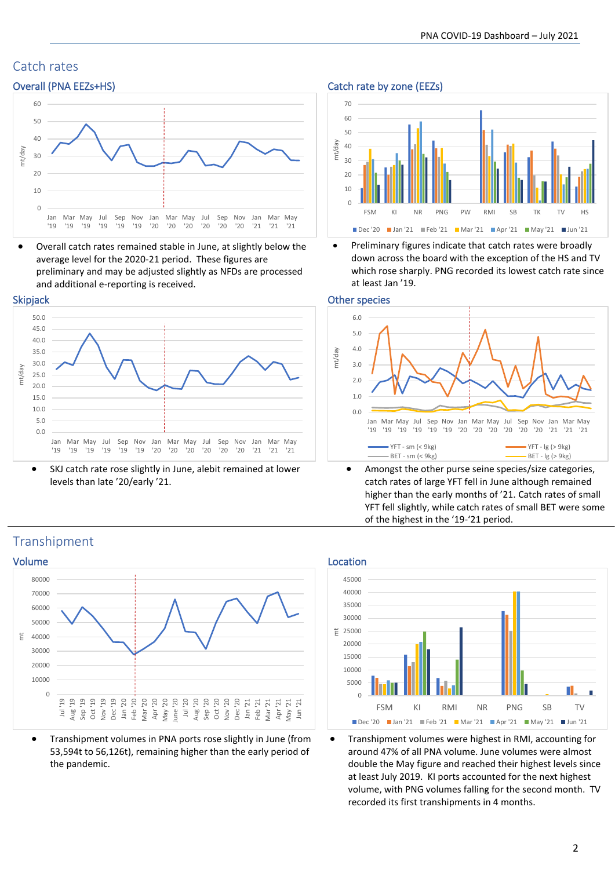# Catch rates



• Overall catch rates remained stable in June, at slightly below the average level for the 2020-21 period. These figures are preliminary and may be adjusted slightly as NFDs are processed and additional e-reporting is received.

### Skipjack

Transhipment



SKJ catch rate rose slightly in June, alebit remained at lower levels than late '20/early '21.





• Preliminary figures indicate that catch rates were broadly down across the board with the exception of the HS and TV which rose sharply. PNG recorded its lowest catch rate since at least Jan '19.

### Other species



• Amongst the other purse seine species/size categories, catch rates of large YFT fell in June although remained higher than the early months of '21. Catch rates of small YFT fell slightly, while catch rates of small BET were some of the highest in the '19-'21 period.



• Transhipment volumes in PNA ports rose slightly in June (from 53,594t to 56,126t), remaining higher than the early period of the pandemic.





• Transhipment volumes were highest in RMI, accounting for around 47% of all PNA volume. June volumes were almost double the May figure and reached their highest levels since at least July 2019. KI ports accounted for the next highest volume, with PNG volumes falling for the second month. TV recorded its first transhipments in 4 months.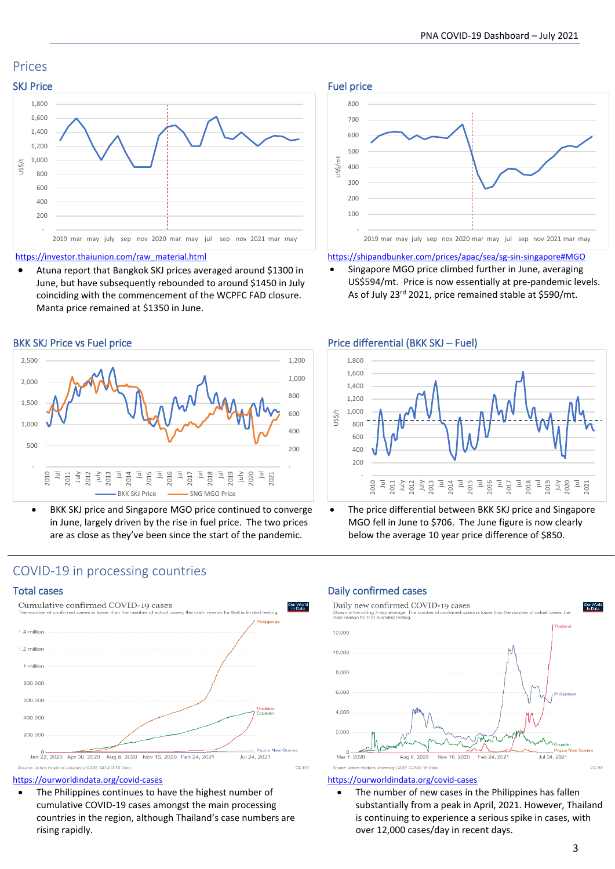# Prices



[https://investor.thaiunion.com/raw\\_material.html](https://investor.thaiunion.com/raw_material.html)

• Atuna report that Bangkok SKJ prices averaged around \$1300 in June, but have subsequently rebounded to around \$1450 in July coinciding with the commencement of the WCPFC FAD closure. Manta price remained at \$1350 in June.



BKK SKJ price and Singapore MGO price continued to converge in June, largely driven by the rise in fuel price. The two prices are as close as they've been since the start of the pandemic.



<https://shipandbunker.com/prices/apac/sea/sg-sin-singapore#MGO>

• Singapore MGO price climbed further in June, averaging US\$594/mt. Price is now essentially at pre-pandemic levels. As of July 23rd 2021, price remained stable at \$590/mt.



The price differential between BKK SKJ price and Singapore MGO fell in June to \$706. The June figure is now clearly below the average 10 year price difference of \$850.

# COVID-19 in processing countries



### <https://ourworldindata.org/covid-cases>

The Philippines continues to have the highest number of cumulative COVID-19 cases amongst the main processing countries in the region, although Thailand's case numbers are rising rapidly.

## Total cases **Daily confirmed cases** Daily confirmed cases



### <https://ourworldindata.org/covid-cases>

The number of new cases in the Philippines has fallen substantially from a peak in April, 2021. However, Thailand is continuing to experience a serious spike in cases, with over 12,000 cases/day in recent days.